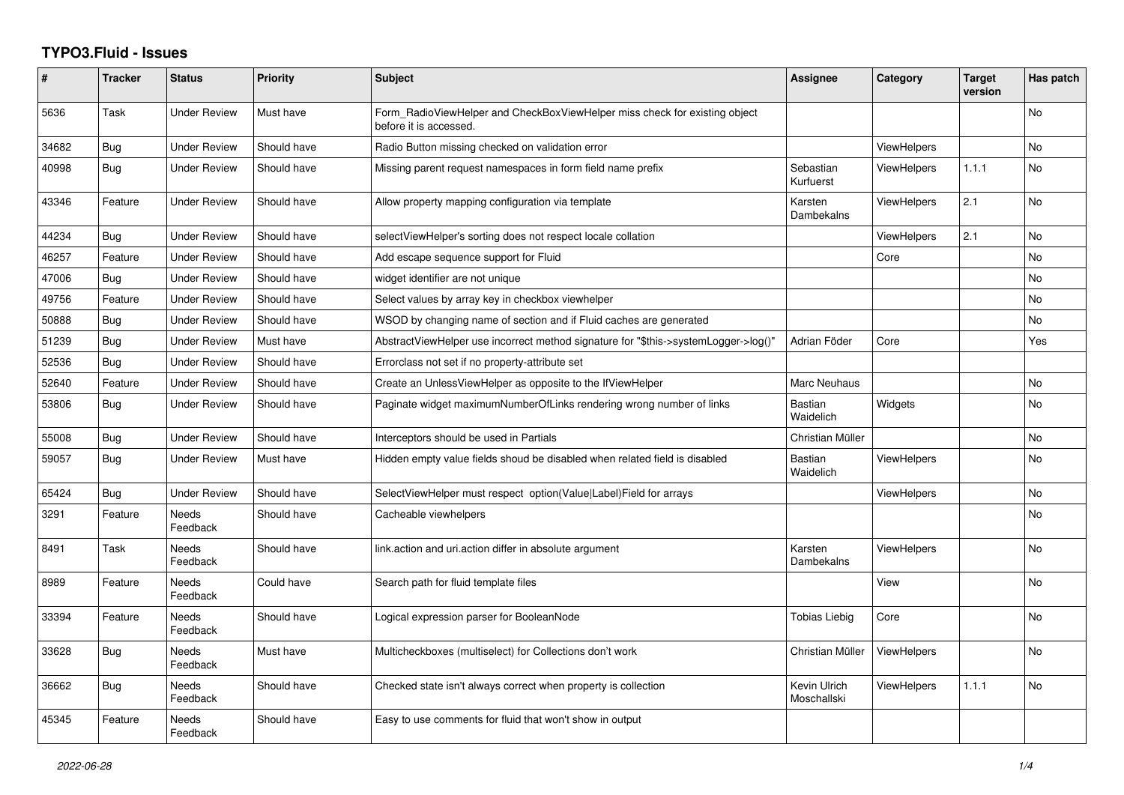## **TYPO3.Fluid - Issues**

| #     | <b>Tracker</b> | <b>Status</b>            | Priority    | <b>Subject</b>                                                                                       | Assignee                    | Category           | <b>Target</b><br>version | Has patch      |
|-------|----------------|--------------------------|-------------|------------------------------------------------------------------------------------------------------|-----------------------------|--------------------|--------------------------|----------------|
| 5636  | Task           | <b>Under Review</b>      | Must have   | Form RadioViewHelper and CheckBoxViewHelper miss check for existing object<br>before it is accessed. |                             |                    |                          | No             |
| 34682 | Bug            | <b>Under Review</b>      | Should have | Radio Button missing checked on validation error                                                     |                             | <b>ViewHelpers</b> |                          | <b>No</b>      |
| 40998 | <b>Bug</b>     | <b>Under Review</b>      | Should have | Missing parent request namespaces in form field name prefix                                          | Sebastian<br>Kurfuerst      | ViewHelpers        | 1.1.1                    | <b>No</b>      |
| 43346 | Feature        | <b>Under Review</b>      | Should have | Allow property mapping configuration via template                                                    | Karsten<br>Dambekalns       | <b>ViewHelpers</b> | 2.1                      | <b>No</b>      |
| 44234 | Bug            | <b>Under Review</b>      | Should have | selectViewHelper's sorting does not respect locale collation                                         |                             | ViewHelpers        | 2.1                      | <b>No</b>      |
| 46257 | Feature        | <b>Under Review</b>      | Should have | Add escape sequence support for Fluid                                                                |                             | Core               |                          | <b>No</b>      |
| 47006 | Bug            | Under Review             | Should have | widget identifier are not unique                                                                     |                             |                    |                          | No             |
| 49756 | Feature        | <b>Under Review</b>      | Should have | Select values by array key in checkbox viewhelper                                                    |                             |                    |                          | <b>No</b>      |
| 50888 | <b>Bug</b>     | <b>Under Review</b>      | Should have | WSOD by changing name of section and if Fluid caches are generated                                   |                             |                    |                          | N <sub>o</sub> |
| 51239 | Bug            | Under Review             | Must have   | AbstractViewHelper use incorrect method signature for "\$this->systemLogger->log()"                  | Adrian Föder                | Core               |                          | Yes            |
| 52536 | <b>Bug</b>     | <b>Under Review</b>      | Should have | Errorclass not set if no property-attribute set                                                      |                             |                    |                          |                |
| 52640 | Feature        | <b>Under Review</b>      | Should have | Create an UnlessViewHelper as opposite to the IfViewHelper                                           | <b>Marc Neuhaus</b>         |                    |                          | <b>No</b>      |
| 53806 | Bug            | Under Review             | Should have | Paginate widget maximumNumberOfLinks rendering wrong number of links                                 | Bastian<br>Waidelich        | Widgets            |                          | No             |
| 55008 | Bug            | Under Review             | Should have | Interceptors should be used in Partials                                                              | Christian Müller            |                    |                          | <b>No</b>      |
| 59057 | <b>Bug</b>     | <b>Under Review</b>      | Must have   | Hidden empty value fields shoud be disabled when related field is disabled                           | Bastian<br>Waidelich        | <b>ViewHelpers</b> |                          | No.            |
| 65424 | <b>Bug</b>     | <b>Under Review</b>      | Should have | SelectViewHelper must respect option(Value Label)Field for arrays                                    |                             | <b>ViewHelpers</b> |                          | <b>No</b>      |
| 3291  | Feature        | <b>Needs</b><br>Feedback | Should have | Cacheable viewhelpers                                                                                |                             |                    |                          | <b>No</b>      |
| 8491  | Task           | <b>Needs</b><br>Feedback | Should have | link.action and uri.action differ in absolute argument                                               | Karsten<br>Dambekalns       | <b>ViewHelpers</b> |                          | No.            |
| 8989  | Feature        | <b>Needs</b><br>Feedback | Could have  | Search path for fluid template files                                                                 |                             | View               |                          | N <sub>o</sub> |
| 33394 | Feature        | Needs<br>Feedback        | Should have | Logical expression parser for BooleanNode                                                            | <b>Tobias Liebig</b>        | Core               |                          | No             |
| 33628 | <b>Bug</b>     | Needs<br>Feedback        | Must have   | Multicheckboxes (multiselect) for Collections don't work                                             | Christian Müller            | <b>ViewHelpers</b> |                          | No             |
| 36662 | <b>Bug</b>     | <b>Needs</b><br>Feedback | Should have | Checked state isn't always correct when property is collection                                       | Kevin Ulrich<br>Moschallski | <b>ViewHelpers</b> | 1.1.1                    | N <sub>o</sub> |
| 45345 | Feature        | Needs<br>Feedback        | Should have | Easy to use comments for fluid that won't show in output                                             |                             |                    |                          |                |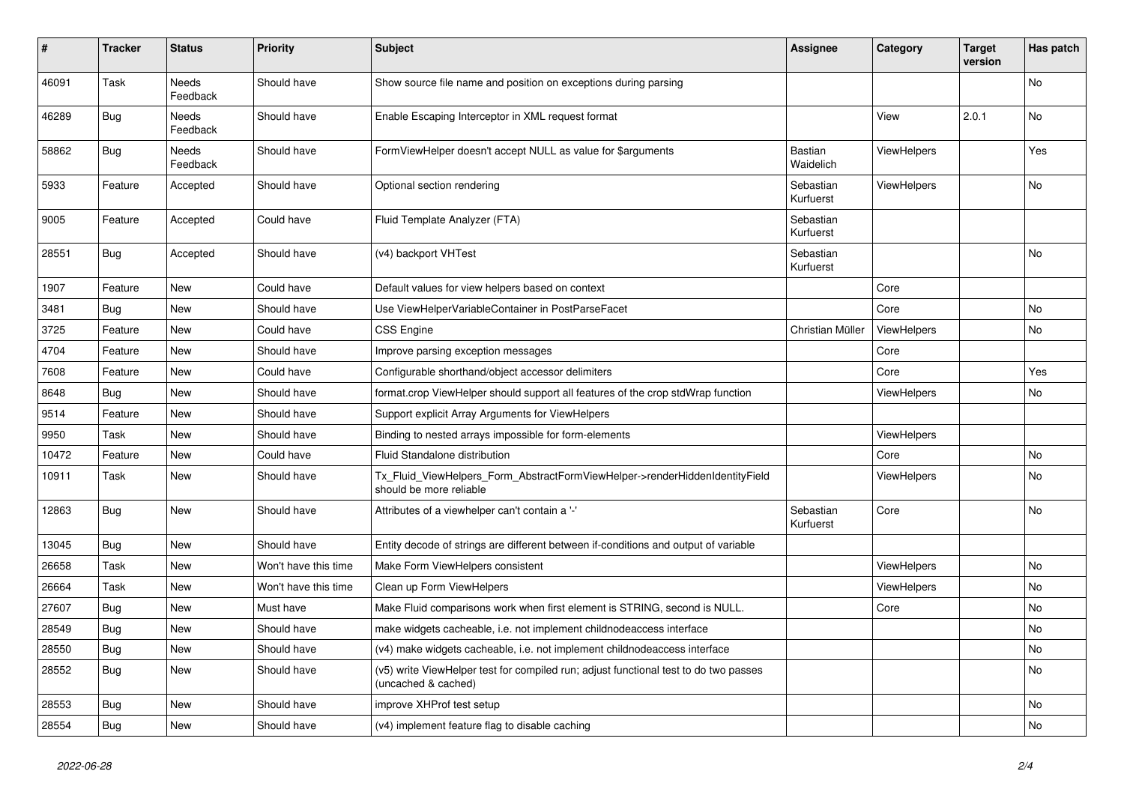| #     | <b>Tracker</b> | <b>Status</b>            | <b>Priority</b>      | <b>Subject</b>                                                                                              | <b>Assignee</b>        | Category           | <b>Target</b><br>version | Has patch |
|-------|----------------|--------------------------|----------------------|-------------------------------------------------------------------------------------------------------------|------------------------|--------------------|--------------------------|-----------|
| 46091 | Task           | <b>Needs</b><br>Feedback | Should have          | Show source file name and position on exceptions during parsing                                             |                        |                    |                          | <b>No</b> |
| 46289 | <b>Bug</b>     | Needs<br>Feedback        | Should have          | Enable Escaping Interceptor in XML request format                                                           |                        | View               | 2.0.1                    | No        |
| 58862 | Bug            | Needs<br>Feedback        | Should have          | FormViewHelper doesn't accept NULL as value for \$arguments                                                 | Bastian<br>Waidelich   | <b>ViewHelpers</b> |                          | Yes       |
| 5933  | Feature        | Accepted                 | Should have          | Optional section rendering                                                                                  | Sebastian<br>Kurfuerst | ViewHelpers        |                          | <b>No</b> |
| 9005  | Feature        | Accepted                 | Could have           | Fluid Template Analyzer (FTA)                                                                               | Sebastian<br>Kurfuerst |                    |                          |           |
| 28551 | Bug            | Accepted                 | Should have          | (v4) backport VHTest                                                                                        | Sebastian<br>Kurfuerst |                    |                          | No        |
| 1907  | Feature        | <b>New</b>               | Could have           | Default values for view helpers based on context                                                            |                        | Core               |                          |           |
| 3481  | Bug            | New                      | Should have          | Use ViewHelperVariableContainer in PostParseFacet                                                           |                        | Core               |                          | <b>No</b> |
| 3725  | Feature        | New                      | Could have           | <b>CSS Engine</b>                                                                                           | Christian Müller       | ViewHelpers        |                          | <b>No</b> |
| 4704  | Feature        | New                      | Should have          | Improve parsing exception messages                                                                          |                        | Core               |                          |           |
| 7608  | Feature        | New                      | Could have           | Configurable shorthand/object accessor delimiters                                                           |                        | Core               |                          | Yes       |
| 8648  | Bug            | New                      | Should have          | format.crop ViewHelper should support all features of the crop stdWrap function                             |                        | ViewHelpers        |                          | No        |
| 9514  | Feature        | New                      | Should have          | Support explicit Array Arguments for ViewHelpers                                                            |                        |                    |                          |           |
| 9950  | Task           | New                      | Should have          | Binding to nested arrays impossible for form-elements                                                       |                        | <b>ViewHelpers</b> |                          |           |
| 10472 | Feature        | <b>New</b>               | Could have           | Fluid Standalone distribution                                                                               |                        | Core               |                          | <b>No</b> |
| 10911 | Task           | New                      | Should have          | Tx_Fluid_ViewHelpers_Form_AbstractFormViewHelper->renderHiddenIdentityField<br>should be more reliable      |                        | <b>ViewHelpers</b> |                          | <b>No</b> |
| 12863 | <b>Bug</b>     | New                      | Should have          | Attributes of a viewhelper can't contain a '-'                                                              | Sebastian<br>Kurfuerst | Core               |                          | No        |
| 13045 | Bug            | New                      | Should have          | Entity decode of strings are different between if-conditions and output of variable                         |                        |                    |                          |           |
| 26658 | Task           | New                      | Won't have this time | Make Form ViewHelpers consistent                                                                            |                        | <b>ViewHelpers</b> |                          | No        |
| 26664 | Task           | New                      | Won't have this time | Clean up Form ViewHelpers                                                                                   |                        | <b>ViewHelpers</b> |                          | No        |
| 27607 | Bug            | New                      | Must have            | Make Fluid comparisons work when first element is STRING, second is NULL.                                   |                        | Core               |                          | No        |
| 28549 | Bug            | <b>New</b>               | Should have          | make widgets cacheable, i.e. not implement childnodeaccess interface                                        |                        |                    |                          | <b>No</b> |
| 28550 | Bug            | New                      | Should have          | (v4) make widgets cacheable, i.e. not implement childnodeaccess interface                                   |                        |                    |                          | <b>No</b> |
| 28552 | Bug            | New                      | Should have          | (v5) write ViewHelper test for compiled run; adjust functional test to do two passes<br>(uncached & cached) |                        |                    |                          | No        |
| 28553 | Bug            | <b>New</b>               | Should have          | improve XHProf test setup                                                                                   |                        |                    |                          | <b>No</b> |
| 28554 | <b>Bug</b>     | <b>New</b>               | Should have          | (v4) implement feature flag to disable caching                                                              |                        |                    |                          | <b>No</b> |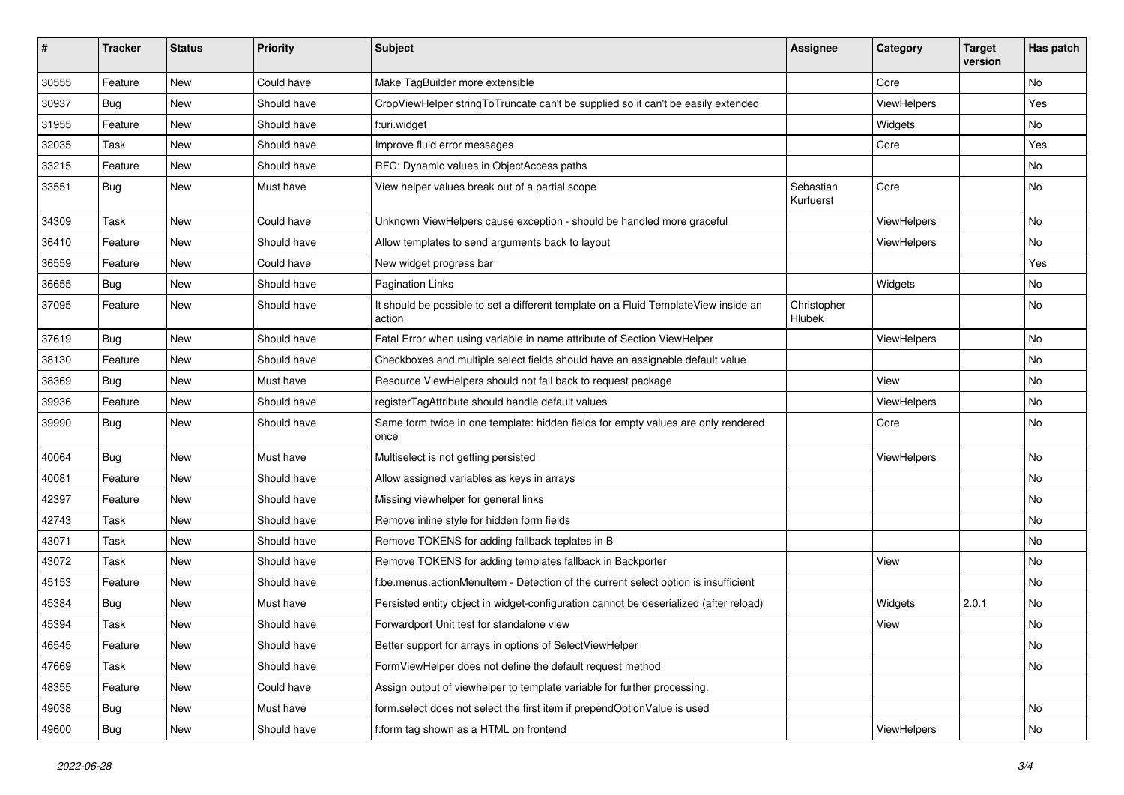| #     | <b>Tracker</b> | <b>Status</b> | <b>Priority</b> | Subject                                                                                       | Assignee               | Category    | <b>Target</b><br>version | Has patch     |
|-------|----------------|---------------|-----------------|-----------------------------------------------------------------------------------------------|------------------------|-------------|--------------------------|---------------|
| 30555 | Feature        | New           | Could have      | Make TagBuilder more extensible                                                               |                        | Core        |                          | No            |
| 30937 | Bug            | New           | Should have     | CropViewHelper stringToTruncate can't be supplied so it can't be easily extended              |                        | ViewHelpers |                          | Yes           |
| 31955 | Feature        | New           | Should have     | f:uri.widget                                                                                  |                        | Widgets     |                          | No            |
| 32035 | Task           | New           | Should have     | Improve fluid error messages                                                                  |                        | Core        |                          | Yes           |
| 33215 | Feature        | New           | Should have     | RFC: Dynamic values in ObjectAccess paths                                                     |                        |             |                          | No            |
| 33551 | Bug            | New           | Must have       | View helper values break out of a partial scope                                               | Sebastian<br>Kurfuerst | Core        |                          | No            |
| 34309 | Task           | <b>New</b>    | Could have      | Unknown ViewHelpers cause exception - should be handled more graceful                         |                        | ViewHelpers |                          | No            |
| 36410 | Feature        | New           | Should have     | Allow templates to send arguments back to layout                                              |                        | ViewHelpers |                          | No            |
| 36559 | Feature        | New           | Could have      | New widget progress bar                                                                       |                        |             |                          | Yes           |
| 36655 | Bug            | New           | Should have     | <b>Pagination Links</b>                                                                       |                        | Widgets     |                          | No            |
| 37095 | Feature        | New           | Should have     | It should be possible to set a different template on a Fluid TemplateView inside an<br>action | Christopher<br>Hlubek  |             |                          | No            |
| 37619 | Bug            | <b>New</b>    | Should have     | Fatal Error when using variable in name attribute of Section ViewHelper                       |                        | ViewHelpers |                          | No            |
| 38130 | Feature        | New           | Should have     | Checkboxes and multiple select fields should have an assignable default value                 |                        |             |                          | No            |
| 38369 | Bug            | New           | Must have       | Resource ViewHelpers should not fall back to request package                                  |                        | View        |                          | No            |
| 39936 | Feature        | New           | Should have     | registerTagAttribute should handle default values                                             |                        | ViewHelpers |                          | No            |
| 39990 | Bug            | New           | Should have     | Same form twice in one template: hidden fields for empty values are only rendered<br>once     |                        | Core        |                          | No            |
| 40064 | Bug            | New           | Must have       | Multiselect is not getting persisted                                                          |                        | ViewHelpers |                          | No            |
| 40081 | Feature        | New           | Should have     | Allow assigned variables as keys in arrays                                                    |                        |             |                          | No            |
| 42397 | Feature        | New           | Should have     | Missing viewhelper for general links                                                          |                        |             |                          | No            |
| 42743 | Task           | New           | Should have     | Remove inline style for hidden form fields                                                    |                        |             |                          | No            |
| 43071 | Task           | New           | Should have     | Remove TOKENS for adding fallback teplates in B                                               |                        |             |                          | No            |
| 43072 | Task           | New           | Should have     | Remove TOKENS for adding templates fallback in Backporter                                     |                        | View        |                          | No            |
| 45153 | Feature        | New           | Should have     | f:be.menus.actionMenuItem - Detection of the current select option is insufficient            |                        |             |                          | No            |
| 45384 | Bug            | <b>New</b>    | Must have       | Persisted entity object in widget-configuration cannot be deserialized (after reload)         |                        | Widgets     | 2.0.1                    | No            |
| 45394 | Task           | New           | Should have     | Forwardport Unit test for standalone view                                                     |                        | View        |                          | No            |
| 46545 | Feature        | New           | Should have     | Better support for arrays in options of SelectViewHelper                                      |                        |             |                          | $\mathsf{No}$ |
| 47669 | Task           | New           | Should have     | FormViewHelper does not define the default request method                                     |                        |             |                          | No            |
| 48355 | Feature        | New           | Could have      | Assign output of viewhelper to template variable for further processing.                      |                        |             |                          |               |
| 49038 | Bug            | New           | Must have       | form.select does not select the first item if prependOptionValue is used                      |                        |             |                          | No            |
| 49600 | <b>Bug</b>     | New           | Should have     | f:form tag shown as a HTML on frontend                                                        |                        | ViewHelpers |                          | No            |